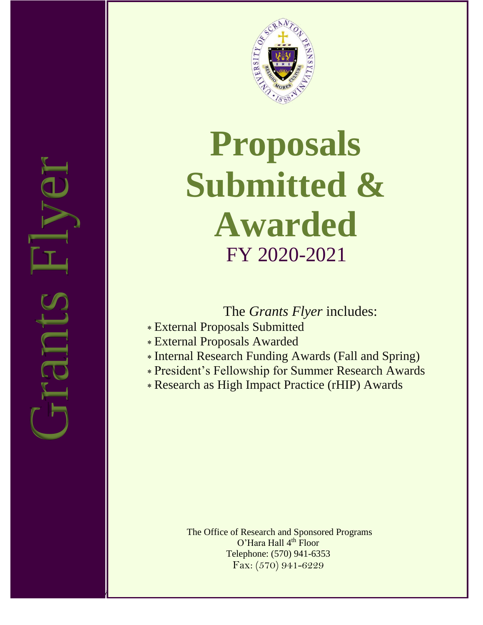

# Submitte<br>Awards<br>FY 2020-20<br>FY 2020-20<br>External Proposals Submitted<br>FY 2020-20<br>External Proposals Awarded<br>President's Fellowship for Summer<br>Research as High Impact Practice<br>Research as High Impact Practice<br>The Office of Res **Proposals Submitted & Awarded** FY 2020-2021

The *Grants Flyer* includes:

- External Proposals Submitted
- External Proposals Awarded
- Internal Research Funding Awards (Fall and Spring)
- President's Fellowship for Summer Research Awards
- Research as High Impact Practice (rHIP) Awards

The Office of Research and Sponsored Programs O'Hara Hall 4<sup>th</sup> Floor Telephone: (570) 941-6353 Fax: (570) 941-6229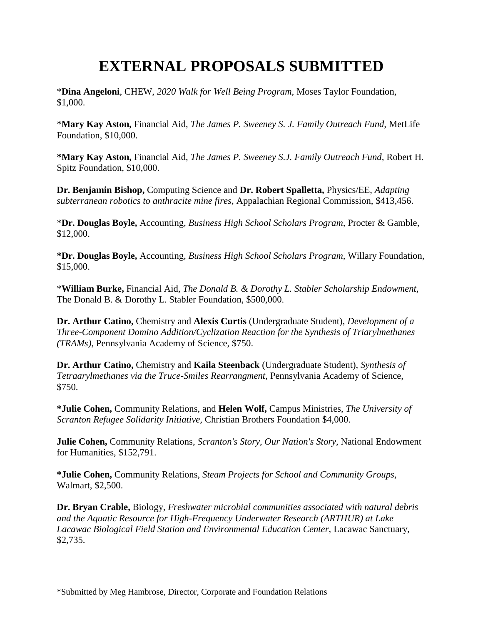### **EXTERNAL PROPOSALS SUBMITTED**

\***Dina Angeloni**, CHEW, *2020 Walk for Well Being Program,* Moses Taylor Foundation, \$1,000.

\***Mary Kay Aston,** Financial Aid, *The James P. Sweeney S. J. Family Outreach Fund,* MetLife Foundation, \$10,000.

**\*Mary Kay Aston,** Financial Aid, *The James P. Sweeney S.J. Family Outreach Fund,* Robert H. Spitz Foundation, \$10,000.

**Dr. Benjamin Bishop,** Computing Science and **Dr. Robert Spalletta,** Physics/EE, *Adapting subterranean robotics to anthracite mine fires,* Appalachian Regional Commission, \$413,456.

\***Dr. Douglas Boyle,** Accounting, *Business High School Scholars Program,* Procter & Gamble, \$12,000.

**\*Dr. Douglas Boyle,** Accounting, *Business High School Scholars Program,* Willary Foundation, \$15,000.

\***William Burke,** Financial Aid, *The Donald B. & Dorothy L. Stabler Scholarship Endowment,*  The Donald B. & Dorothy L. Stabler Foundation, \$500,000.

**Dr. Arthur Catino,** Chemistry and **Alexis Curtis** (Undergraduate Student), *Development of a Three-Component Domino Addition/Cyclization Reaction for the Synthesis of Triarylmethanes (TRAMs),* Pennsylvania Academy of Science, \$750.

**Dr. Arthur Catino,** Chemistry and **Kaila Steenback** (Undergraduate Student), *Synthesis of Tetraarylmethanes via the Truce-Smiles Rearrangment,* Pennsylvania Academy of Science, \$750.

**\*Julie Cohen,** Community Relations, and **Helen Wolf,** Campus Ministries, *The University of Scranton Refugee Solidarity Initiative,* Christian Brothers Foundation \$4,000.

**Julie Cohen,** Community Relations, *Scranton's Story, Our Nation's Story,* National Endowment for Humanities, \$152,791.

**\*Julie Cohen,** Community Relations, *Steam Projects for School and Community Groups,* Walmart, \$2,500.

**Dr. Bryan Crable,** Biology, *Freshwater microbial communities associated with natural debris and the Aquatic Resource for High-Frequency Underwater Research (ARTHUR) at Lake Lacawac Biological Field Station and Environmental Education Center,* Lacawac Sanctuary, \$2,735.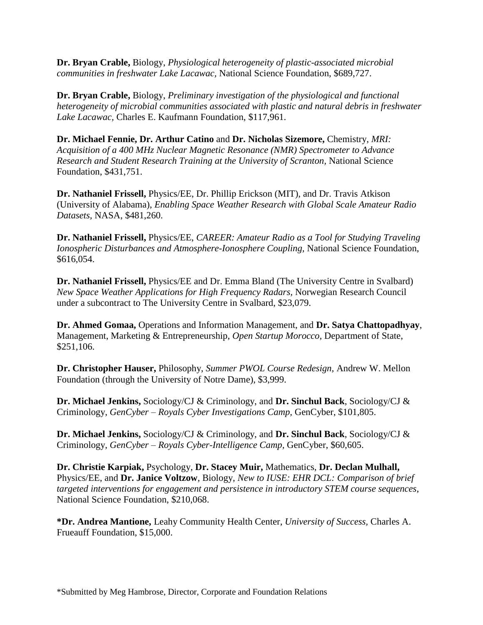**Dr. Bryan Crable,** Biology, *Physiological heterogeneity of plastic-associated microbial communities in freshwater Lake Lacawac,* National Science Foundation, \$689,727.

**Dr. Bryan Crable,** Biology, *Preliminary investigation of the physiological and functional heterogeneity of microbial communities associated with plastic and natural debris in freshwater Lake Lacawac,* Charles E. Kaufmann Foundation, \$117,961.

**Dr. Michael Fennie, Dr. Arthur Catino** and **Dr. Nicholas Sizemore,** Chemistry, *MRI: Acquisition of a 400 MHz Nuclear Magnetic Resonance (NMR) Spectrometer to Advance Research and Student Research Training at the University of Scranton,* National Science Foundation, \$431,751.

**Dr. Nathaniel Frissell,** Physics/EE, Dr. Phillip Erickson (MIT), and Dr. Travis Atkison (University of Alabama), *Enabling Space Weather Research with Global Scale Amateur Radio Datasets,* NASA, \$481,260.

**Dr. Nathaniel Frissell,** Physics/EE, *CAREER: Amateur Radio as a Tool for Studying Traveling Ionospheric Disturbances and Atmosphere-Ionosphere Coupling,* National Science Foundation, \$616,054.

**Dr. Nathaniel Frissell,** Physics/EE and Dr. Emma Bland (The University Centre in Svalbard) *New Space Weather Applications for High Frequency Radars,* Norwegian Research Council under a subcontract to The University Centre in Svalbard, \$23,079.

**Dr. Ahmed Gomaa,** Operations and Information Management, and **Dr. Satya Chattopadhyay**, Management, Marketing & Entrepreneurship, *Open Startup Morocco,* Department of State, \$251,106.

**Dr. Christopher Hauser,** Philosophy, *Summer PWOL Course Redesign,* Andrew W. Mellon Foundation (through the University of Notre Dame), \$3,999.

**Dr. Michael Jenkins,** Sociology/CJ & Criminology, and **Dr. Sinchul Back**, Sociology/CJ & Criminology, *GenCyber – Royals Cyber Investigations Camp,* GenCyber, \$101,805.

**Dr. Michael Jenkins,** Sociology/CJ & Criminology, and **Dr. Sinchul Back**, Sociology/CJ & Criminology, *GenCyber – Royals Cyber-Intelligence Camp,* GenCyber, \$60,605.

**Dr. Christie Karpiak,** Psychology, **Dr. Stacey Muir,** Mathematics, **Dr. Declan Mulhall,** Physics/EE, and **Dr. Janice Voltzow**, Biology, *New to IUSE: EHR DCL: Comparison of brief targeted interventions for engagement and persistence in introductory STEM course sequences,* National Science Foundation, \$210,068.

**\*Dr. Andrea Mantione,** Leahy Community Health Center, *University of Success,* Charles A. Frueauff Foundation, \$15,000.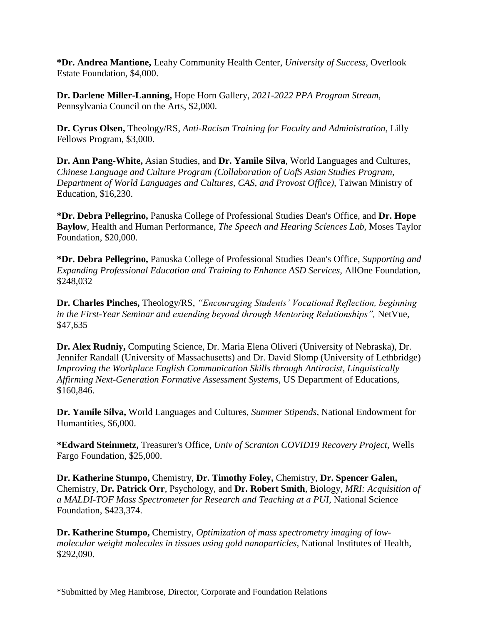**\*Dr. Andrea Mantione,** Leahy Community Health Center, *University of Success,* Overlook Estate Foundation, \$4,000.

**Dr. Darlene Miller-Lanning,** Hope Horn Gallery, *2021-2022 PPA Program Stream,* Pennsylvania Council on the Arts, \$2,000.

**Dr. Cyrus Olsen,** Theology/RS, *Anti-Racism Training for Faculty and Administration,* Lilly Fellows Program, \$3,000.

**Dr. Ann Pang-White,** Asian Studies, and **Dr. Yamile Silva**, World Languages and Cultures, *Chinese Language and Culture Program (Collaboration of UofS Asian Studies Program, Department of World Languages and Cultures, CAS, and Provost Office),* Taiwan Ministry of Education, \$16,230.

**\*Dr. Debra Pellegrino,** Panuska College of Professional Studies Dean's Office, and **Dr. Hope Baylow**, Health and Human Performance, *The Speech and Hearing Sciences Lab,* Moses Taylor Foundation, \$20,000.

**\*Dr. Debra Pellegrino,** Panuska College of Professional Studies Dean's Office, *Supporting and Expanding Professional Education and Training to Enhance ASD Services,* AllOne Foundation, \$248,032

**Dr. Charles Pinches,** Theology/RS, *"Encouraging Students' Vocational Reflection, beginning in the First-Year Seminar and extending beyond through Mentoring Relationships",* NetVue, \$47,635

**Dr. Alex Rudniy,** Computing Science, Dr. Maria Elena Oliveri (University of Nebraska), Dr. Jennifer Randall (University of Massachusetts) and Dr. David Slomp (University of Lethbridge) *Improving the Workplace English Communication Skills through Antiracist, Linguistically Affirming Next-Generation Formative Assessment Systems,* US Department of Educations, \$160,846.

**Dr. Yamile Silva,** World Languages and Cultures, *Summer Stipends,* National Endowment for Humantities, \$6,000.

**\*Edward Steinmetz,** Treasurer's Office, *Univ of Scranton COVID19 Recovery Project,* Wells Fargo Foundation, \$25,000.

**Dr. Katherine Stumpo,** Chemistry, **Dr. Timothy Foley,** Chemistry, **Dr. Spencer Galen,** Chemistry, **Dr. Patrick Orr**, Psychology, and **Dr. Robert Smith**, Biology, *MRI: Acquisition of a MALDI-TOF Mass Spectrometer for Research and Teaching at a PUI,* National Science Foundation, \$423,374.

**Dr. Katherine Stumpo,** Chemistry, *Optimization of mass spectrometry imaging of lowmolecular weight molecules in tissues using gold nanoparticles,* National Institutes of Health, \$292,090.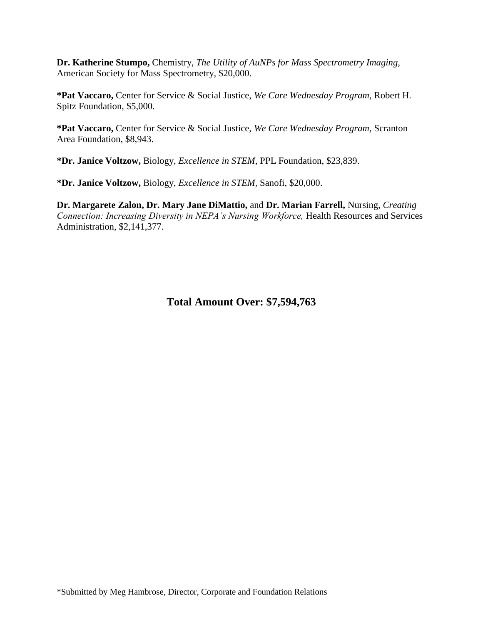**Dr. Katherine Stumpo,** Chemistry, *The Utility of AuNPs for Mass Spectrometry Imaging,* American Society for Mass Spectrometry, \$20,000.

**\*Pat Vaccaro,** Center for Service & Social Justice, *We Care Wednesday Program,* Robert H. Spitz Foundation, \$5,000.

**\*Pat Vaccaro,** Center for Service & Social Justice, *We Care Wednesday Program,* Scranton Area Foundation, \$8,943.

**\*Dr. Janice Voltzow,** Biology, *Excellence in STEM,* PPL Foundation, \$23,839.

**\*Dr. Janice Voltzow,** Biology, *Excellence in STEM,* Sanofi, \$20,000.

**Dr. Margarete Zalon, Dr. Mary Jane DiMattio,** and **Dr. Marian Farrell,** Nursing, *Creating Connection: Increasing Diversity in NEPA's Nursing Workforce,* Health Resources and Services Administration, \$2,141,377.

**Total Amount Over: \$7,594,763**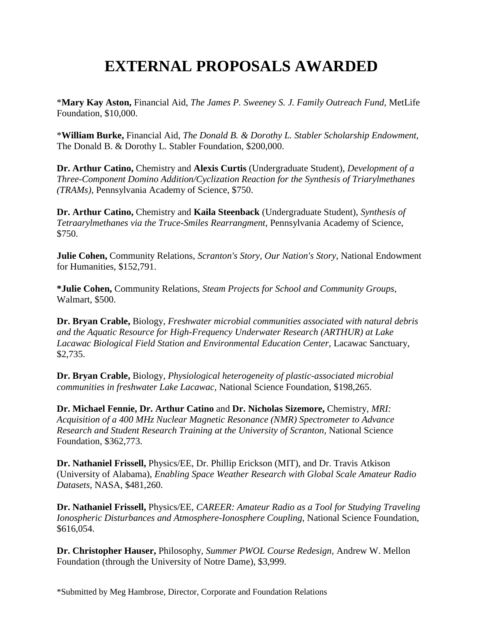## **EXTERNAL PROPOSALS AWARDED**

\***Mary Kay Aston,** Financial Aid, *The James P. Sweeney S. J. Family Outreach Fund,* MetLife Foundation, \$10,000.

\***William Burke,** Financial Aid, *The Donald B. & Dorothy L. Stabler Scholarship Endowment,*  The Donald B. & Dorothy L. Stabler Foundation, \$200,000.

**Dr. Arthur Catino,** Chemistry and **Alexis Curtis** (Undergraduate Student), *Development of a Three-Component Domino Addition/Cyclization Reaction for the Synthesis of Triarylmethanes (TRAMs),* Pennsylvania Academy of Science, \$750.

**Dr. Arthur Catino,** Chemistry and **Kaila Steenback** (Undergraduate Student), *Synthesis of Tetraarylmethanes via the Truce-Smiles Rearrangment,* Pennsylvania Academy of Science, \$750.

**Julie Cohen,** Community Relations, *Scranton's Story, Our Nation's Story,* National Endowment for Humanities, \$152,791.

**\*Julie Cohen,** Community Relations, *Steam Projects for School and Community Groups,* Walmart, \$500.

**Dr. Bryan Crable,** Biology, *Freshwater microbial communities associated with natural debris and the Aquatic Resource for High-Frequency Underwater Research (ARTHUR) at Lake Lacawac Biological Field Station and Environmental Education Center,* Lacawac Sanctuary, \$2,735.

**Dr. Bryan Crable,** Biology, *Physiological heterogeneity of plastic-associated microbial communities in freshwater Lake Lacawac,* National Science Foundation, \$198,265.

**Dr. Michael Fennie, Dr. Arthur Catino** and **Dr. Nicholas Sizemore,** Chemistry, *MRI: Acquisition of a 400 MHz Nuclear Magnetic Resonance (NMR) Spectrometer to Advance Research and Student Research Training at the University of Scranton,* National Science Foundation, \$362,773.

**Dr. Nathaniel Frissell,** Physics/EE, Dr. Phillip Erickson (MIT), and Dr. Travis Atkison (University of Alabama), *Enabling Space Weather Research with Global Scale Amateur Radio Datasets,* NASA, \$481,260.

**Dr. Nathaniel Frissell,** Physics/EE, *CAREER: Amateur Radio as a Tool for Studying Traveling Ionospheric Disturbances and Atmosphere-Ionosphere Coupling,* National Science Foundation, \$616,054.

**Dr. Christopher Hauser,** Philosophy, *Summer PWOL Course Redesign,* Andrew W. Mellon Foundation (through the University of Notre Dame), \$3,999.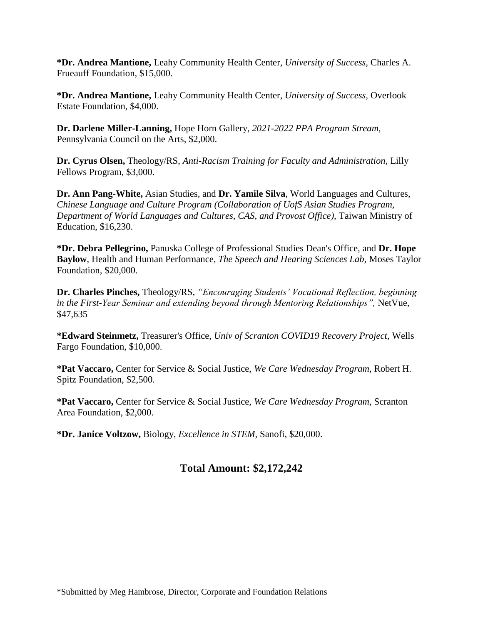**\*Dr. Andrea Mantione,** Leahy Community Health Center, *University of Success,* Charles A. Frueauff Foundation, \$15,000.

**\*Dr. Andrea Mantione,** Leahy Community Health Center, *University of Success,* Overlook Estate Foundation, \$4,000.

**Dr. Darlene Miller-Lanning,** Hope Horn Gallery, *2021-2022 PPA Program Stream,* Pennsylvania Council on the Arts, \$2,000.

**Dr. Cyrus Olsen,** Theology/RS, *Anti-Racism Training for Faculty and Administration,* Lilly Fellows Program, \$3,000.

**Dr. Ann Pang-White,** Asian Studies, and **Dr. Yamile Silva**, World Languages and Cultures, *Chinese Language and Culture Program (Collaboration of UofS Asian Studies Program, Department of World Languages and Cultures, CAS, and Provost Office),* Taiwan Ministry of Education, \$16,230.

**\*Dr. Debra Pellegrino,** Panuska College of Professional Studies Dean's Office, and **Dr. Hope Baylow**, Health and Human Performance, *The Speech and Hearing Sciences Lab,* Moses Taylor Foundation, \$20,000.

**Dr. Charles Pinches,** Theology/RS, *"Encouraging Students' Vocational Reflection, beginning in the First-Year Seminar and extending beyond through Mentoring Relationships",* NetVue, \$47,635

**\*Edward Steinmetz,** Treasurer's Office, *Univ of Scranton COVID19 Recovery Project,* Wells Fargo Foundation, \$10,000.

**\*Pat Vaccaro,** Center for Service & Social Justice, *We Care Wednesday Program,* Robert H. Spitz Foundation, \$2,500.

**\*Pat Vaccaro,** Center for Service & Social Justice, *We Care Wednesday Program,* Scranton Area Foundation, \$2,000.

**\*Dr. Janice Voltzow,** Biology, *Excellence in STEM,* Sanofi, \$20,000.

#### **Total Amount: \$2,172,242**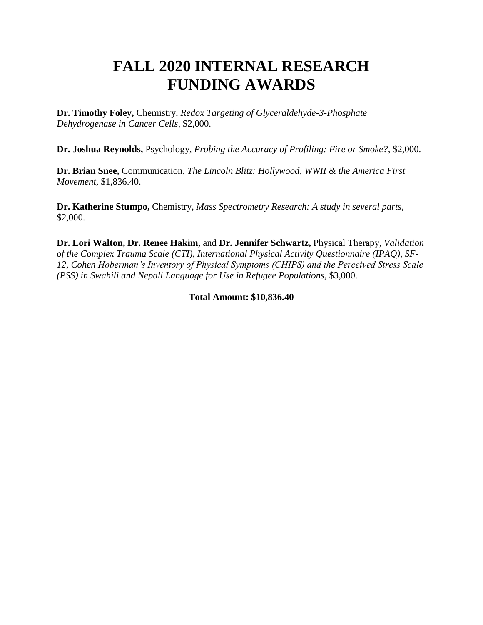#### **FALL 2020 INTERNAL RESEARCH FUNDING AWARDS**

**Dr. Timothy Foley,** Chemistry, *Redox Targeting of Glyceraldehyde-3-Phosphate Dehydrogenase in Cancer Cells,* \$2,000.

**Dr. Joshua Reynolds,** Psychology*, Probing the Accuracy of Profiling: Fire or Smoke?,* \$2,000.

**Dr. Brian Snee,** Communication, *The Lincoln Blitz: Hollywood, WWII & the America First Movement,* \$1,836.40.

**Dr. Katherine Stumpo,** Chemistry, *Mass Spectrometry Research: A study in several parts,*  \$2,000.

**Dr. Lori Walton, Dr. Renee Hakim,** and **Dr. Jennifer Schwartz,** Physical Therapy, *Validation of the Complex Trauma Scale (CTI), International Physical Activity Questionnaire (IPAQ), SF-12, Cohen Hoberman's Inventory of Physical Symptoms (CHIPS) and the Perceived Stress Scale (PSS) in Swahili and Nepali Language for Use in Refugee Populations,* \$3,000.

**Total Amount: \$10,836.40**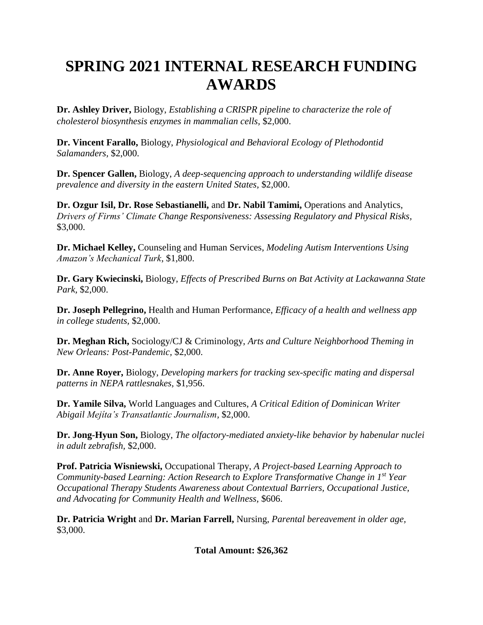## **SPRING 2021 INTERNAL RESEARCH FUNDING AWARDS**

**Dr. Ashley Driver,** Biology, *Establishing a CRISPR pipeline to characterize the role of cholesterol biosynthesis enzymes in mammalian cells,* \$2,000.

**Dr. Vincent Farallo,** Biology, *Physiological and Behavioral Ecology of Plethodontid Salamanders,* \$2,000.

**Dr. Spencer Gallen,** Biology, *A deep-sequencing approach to understanding wildlife disease prevalence and diversity in the eastern United States,* \$2,000.

**Dr. Ozgur Isil, Dr. Rose Sebastianelli,** and **Dr. Nabil Tamimi,** Operations and Analytics, *Drivers of Firms' Climate Change Responsiveness: Assessing Regulatory and Physical Risks,*  \$3,000.

**Dr. Michael Kelley,** Counseling and Human Services, *Modeling Autism Interventions Using Amazon's Mechanical Turk,* \$1,800.

**Dr. Gary Kwiecinski,** Biology, *Effects of Prescribed Burns on Bat Activity at Lackawanna State Park,* \$2,000.

**Dr. Joseph Pellegrino,** Health and Human Performance, *Efficacy of a health and wellness app in college students,* \$2,000.

**Dr. Meghan Rich,** Sociology/CJ & Criminology, *Arts and Culture Neighborhood Theming in New Orleans: Post-Pandemic,* \$2,000.

**Dr. Anne Royer,** Biology, *Developing markers for tracking sex-specific mating and dispersal patterns in NEPA rattlesnakes,* \$1,956.

**Dr. Yamile Silva,** World Languages and Cultures, *A Critical Edition of Dominican Writer Abigail Mejíta's Transatlantic Journalism,* \$2,000.

**Dr. Jong-Hyun Son,** Biology, *The olfactory-mediated anxiety-like behavior by habenular nuclei in adult zebrafish,* \$2,000.

**Prof. Patricia Wisniewski,** Occupational Therapy, *A Project-based Learning Approach to Community-based Learning: Action Research to Explore Transformative Change in 1st Year Occupational Therapy Students Awareness about Contextual Barriers, Occupational Justice, and Advocating for Community Health and Wellness,* \$606.

**Dr. Patricia Wright** and **Dr. Marian Farrell,** Nursing, *Parental bereavement in older age,*  \$3,000.

**Total Amount: \$26,362**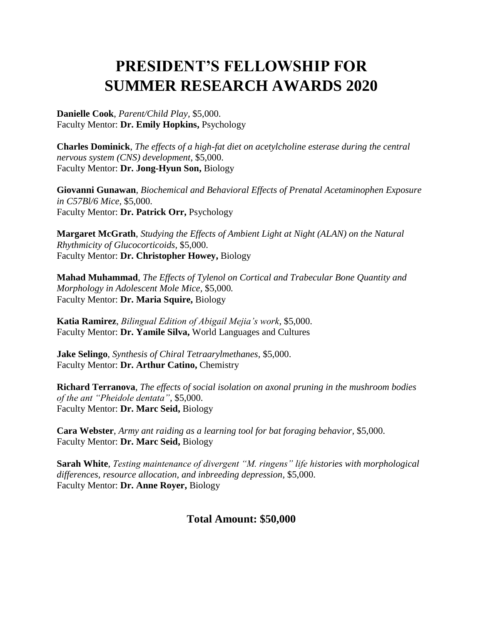#### **PRESIDENT'S FELLOWSHIP FOR SUMMER RESEARCH AWARDS 2020**

**Danielle Cook**, *Parent/Child Play,* \$5,000. Faculty Mentor: **Dr. Emily Hopkins,** Psychology

**Charles Dominick**, *The effects of a high-fat diet on acetylcholine esterase during the central nervous system (CNS) development,* \$5,000. Faculty Mentor: **Dr. Jong-Hyun Son,** Biology

**Giovanni Gunawan**, *Biochemical and Behavioral Effects of Prenatal Acetaminophen Exposure in C57Bl/6 Mice,* \$5,000. Faculty Mentor: **Dr. Patrick Orr,** Psychology

**Margaret McGrath**, *Studying the Effects of Ambient Light at Night (ALAN) on the Natural Rhythmicity of Glucocorticoids,* \$5,000. Faculty Mentor: **Dr. Christopher Howey,** Biology

**Mahad Muhammad**, *The Effects of Tylenol on Cortical and Trabecular Bone Quantity and Morphology in Adolescent Mole Mice,* \$5,000*.* Faculty Mentor: **Dr. Maria Squire,** Biology

**Katia Ramirez**, *Bilingual Edition of Abigail Mejia's work,* \$5,000. Faculty Mentor: **Dr. Yamile Silva,** World Languages and Cultures

**Jake Selingo**, *Synthesis of Chiral Tetraarylmethanes,* \$5,000. Faculty Mentor: **Dr. Arthur Catino,** Chemistry

**Richard Terranova**, *The effects of social isolation on axonal pruning in the mushroom bodies of the ant "Pheidole dentata",* \$5,000. Faculty Mentor: **Dr. Marc Seid,** Biology

**Cara Webster**, *Army ant raiding as a learning tool for bat foraging behavior,* \$5,000. Faculty Mentor: **Dr. Marc Seid,** Biology

**Sarah White**, *Testing maintenance of divergent "M. ringens" life histories with morphological differences, resource allocation, and inbreeding depression,* \$5,000. Faculty Mentor: **Dr. Anne Royer,** Biology

#### **Total Amount: \$50,000**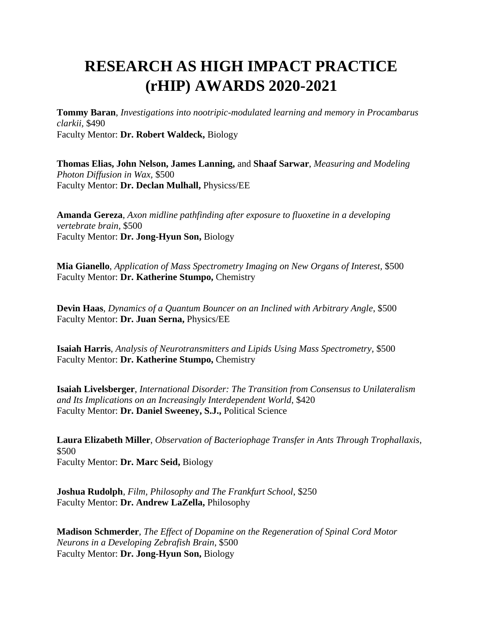### **RESEARCH AS HIGH IMPACT PRACTICE (rHIP) AWARDS 2020-2021**

**Tommy Baran**, *Investigations into nootripic-modulated learning and memory in Procambarus clarkii,* \$490 Faculty Mentor: **Dr. Robert Waldeck,** Biology

**Thomas Elias, John Nelson, James Lanning,** and **Shaaf Sarwar**, *Measuring and Modeling Photon Diffusion in Wax,* \$500 Faculty Mentor: **Dr. Declan Mulhall,** Physicss/EE

**Amanda Gereza**, *Axon midline pathfinding after exposure to fluoxetine in a developing vertebrate brain,* \$500 Faculty Mentor: **Dr. Jong-Hyun Son,** Biology

**Mia Gianello**, *Application of Mass Spectrometry Imaging on New Organs of Interest,* \$500 Faculty Mentor: **Dr. Katherine Stumpo,** Chemistry

**Devin Haas**, *Dynamics of a Quantum Bouncer on an Inclined with Arbitrary Angle*, \$500 Faculty Mentor: **Dr. Juan Serna,** Physics/EE

**Isaiah Harris**, *Analysis of Neurotransmitters and Lipids Using Mass Spectrometry,* \$500 Faculty Mentor: **Dr. Katherine Stumpo,** Chemistry

**Isaiah Livelsberger**, *International Disorder: The Transition from Consensus to Unilateralism and Its Implications on an Increasingly Interdependent World*, \$420 Faculty Mentor: **Dr. Daniel Sweeney, S.J.,** Political Science

**Laura Elizabeth Miller**, *Observation of Bacteriophage Transfer in Ants Through Trophallaxis,* \$500 Faculty Mentor: **Dr. Marc Seid,** Biology

**Joshua Rudolph**, *Film, Philosophy and The Frankfurt School*, \$250 Faculty Mentor: **Dr. Andrew LaZella,** Philosophy

**Madison Schmerder***, The Effect of Dopamine on the Regeneration of Spinal Cord Motor Neurons in a Developing Zebrafish Brain*, \$500 Faculty Mentor: **Dr. Jong-Hyun Son,** Biology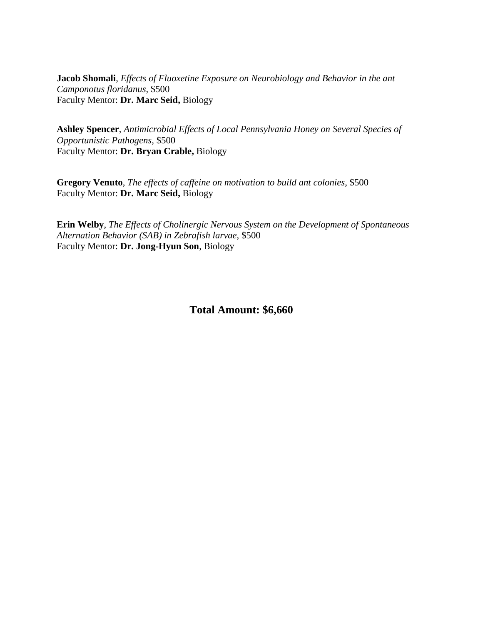**Jacob Shomali**, *Effects of Fluoxetine Exposure on Neurobiology and Behavior in the ant Camponotus floridanus,* \$500 Faculty Mentor: **Dr. Marc Seid,** Biology

**Ashley Spencer**, *Antimicrobial Effects of Local Pennsylvania Honey on Several Species of Opportunistic Pathogens,* \$500 Faculty Mentor: **Dr. Bryan Crable,** Biology

**Gregory Venuto**, *The effects of caffeine on motivation to build ant colonies*, \$500 Faculty Mentor: **Dr. Marc Seid,** Biology

**Erin Welby**, *The Effects of Cholinergic Nervous System on the Development of Spontaneous Alternation Behavior (SAB) in Zebrafish larvae*, \$500 Faculty Mentor: **Dr. Jong-Hyun Son**, Biology

#### **Total Amount: \$6,660**